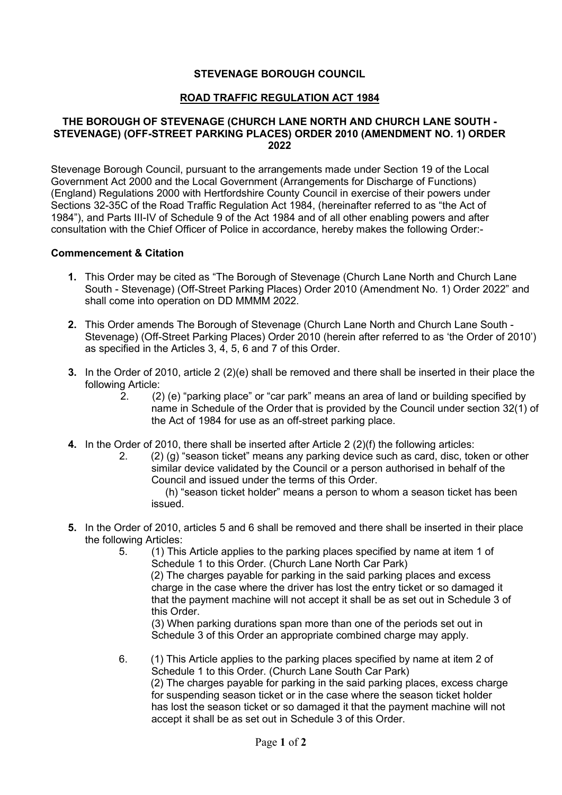## **STEVENAGE BOROUGH COUNCIL**

## **ROAD TRAFFIC REGULATION ACT 1984**

#### **THE BOROUGH OF STEVENAGE (CHURCH LANE NORTH AND CHURCH LANE SOUTH - STEVENAGE) (OFF-STREET PARKING PLACES) ORDER 2010 (AMENDMENT NO. 1) ORDER 2022**

 consultation with the Chief Officer of Police in accordance, hereby makes the following Order:- Stevenage Borough Council, pursuant to the arrangements made under Section 19 of the Local Government Act 2000 and the Local Government (Arrangements for Discharge of Functions) (England) Regulations 2000 with Hertfordshire County Council in exercise of their powers under Sections 32-35C of the Road Traffic Regulation Act 1984, (hereinafter referred to as "the Act of 1984"), and Parts III-IV of Schedule 9 of the Act 1984 and of all other enabling powers and after

## **Commencement & Citation**

- **1.** This Order may be cited as "The Borough of Stevenage (Church Lane North and Church Lane South - Stevenage) (Off-Street Parking Places) Order 2010 (Amendment No. 1) Order 2022" and shall come into operation on DD MMMM 2022.
- **2.** This Order amends The Borough of Stevenage (Church Lane North and Church Lane South as specified in the Articles 3, 4, 5, 6 and 7 of this Order. Stevenage) (Off-Street Parking Places) Order 2010 (herein after referred to as 'the Order of 2010')
- **3.** In the Order of 2010, article 2 (2)(e) shall be removed and there shall be inserted in their place the following Article:
	- name in Schedule of the Order that is provided by the Council under section 32(1) of 2. (2) (e) "parking place" or "car park" means an area of land or building specified by the Act of 1984 for use as an off-street parking place.
- **4.** In the Order of 2010, there shall be inserted after Article 2 (2)(f) the following articles:
	- 2. (2) (g) "season ticket" means any parking device such as card, disc, token or other similar device validated by the Council or a person authorised in behalf of the Council and issued under the terms of this Order.

(h) "season ticket holder" means a person to whom a season ticket has been issued.

 **5.** In the Order of 2010, articles 5 and 6 shall be removed and there shall be inserted in their place the following Articles:<br>5. (1) This

5. (1) This Article applies to the parking places specified by name at item 1 of Schedule 1 to this Order. (Church Lane North Car Park) (2) The charges payable for parking in the said parking places and excess

 that the payment machine will not accept it shall be as set out in Schedule 3 of charge in the case where the driver has lost the entry ticket or so damaged it this Order.

(3) When parking durations span more than one of the periods set out in Schedule 3 of this Order an appropriate combined charge may apply.

 $6.$  Schedule 1 to this Order. (Church Lane South Car Park) accept it shall be as set out in Schedule 3 of this Order. 6. (1) This Article applies to the parking places specified by name at item 2 of (2) The charges payable for parking in the said parking places, excess charge for suspending season ticket or in the case where the season ticket holder has lost the season ticket or so damaged it that the payment machine will not